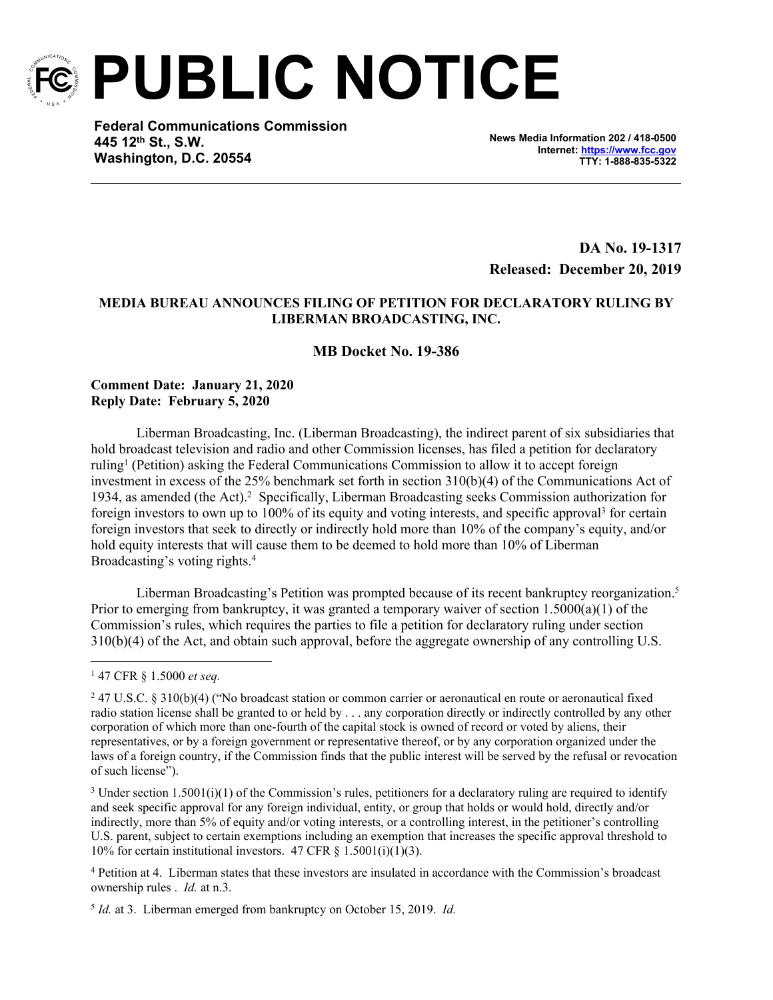

**PUBLIC NOTICE**

**Federal Communications Commission 445 12th St., S.W. Washington, D.C. 20554**

**News Media Information 202 / 418-0500 Internet:<https://www.fcc.gov> TTY: 1-888-835-5322**

**DA No. 19-1317 Released: December 20, 2019**

# **MEDIA BUREAU ANNOUNCES FILING OF PETITION FOR DECLARATORY RULING BY LIBERMAN BROADCASTING, INC.**

## **MB Docket No. 19-386**

## **Comment Date: January 21, 2020 Reply Date: February 5, 2020**

Liberman Broadcasting, Inc. (Liberman Broadcasting), the indirect parent of six subsidiaries that hold broadcast television and radio and other Commission licenses, has filed a petition for declaratory ruling<sup>1</sup> (Petition) asking the Federal Communications Commission to allow it to accept foreign investment in excess of the 25% benchmark set forth in section 310(b)(4) of the Communications Act of 1934, as amended (the Act).<sup>2</sup> Specifically, Liberman Broadcasting seeks Commission authorization for foreign investors to own up to 100% of its equity and voting interests, and specific approval<sup>3</sup> for certain foreign investors that seek to directly or indirectly hold more than 10% of the company's equity, and/or hold equity interests that will cause them to be deemed to hold more than 10% of Liberman Broadcasting's voting rights.<sup>4</sup>

Liberman Broadcasting's Petition was prompted because of its recent bankruptcy reorganization.<sup>5</sup> Prior to emerging from bankruptcy, it was granted a temporary waiver of section  $1.5000(a)(1)$  of the Commission's rules, which requires the parties to file a petition for declaratory ruling under section 310(b)(4) of the Act, and obtain such approval, before the aggregate ownership of any controlling U.S.

<sup>3</sup> Under section 1.5001(i)(1) of the Commission's rules, petitioners for a declaratory ruling are required to identify and seek specific approval for any foreign individual, entity, or group that holds or would hold, directly and/or indirectly, more than 5% of equity and/or voting interests, or a controlling interest, in the petitioner's controlling U.S. parent, subject to certain exemptions including an exemption that increases the specific approval threshold to 10% for certain institutional investors. 47 CFR  $\S$  1.5001(i)(1)(3).

4 Petition at 4. Liberman states that these investors are insulated in accordance with the Commission's broadcast ownership rules . *Id.* at n.3.

5 *Id.* at 3. Liberman emerged from bankruptcy on October 15, 2019. *Id.*

<sup>1</sup> 47 CFR § 1.5000 *et seq.* 

<sup>2</sup> 47 U.S.C. § 310(b)(4) ("No broadcast station or common carrier or aeronautical en route or aeronautical fixed radio station license shall be granted to or held by . . . any corporation directly or indirectly controlled by any other corporation of which more than one-fourth of the capital stock is owned of record or voted by aliens, their representatives, or by a foreign government or representative thereof, or by any corporation organized under the laws of a foreign country, if the Commission finds that the public interest will be served by the refusal or revocation of such license").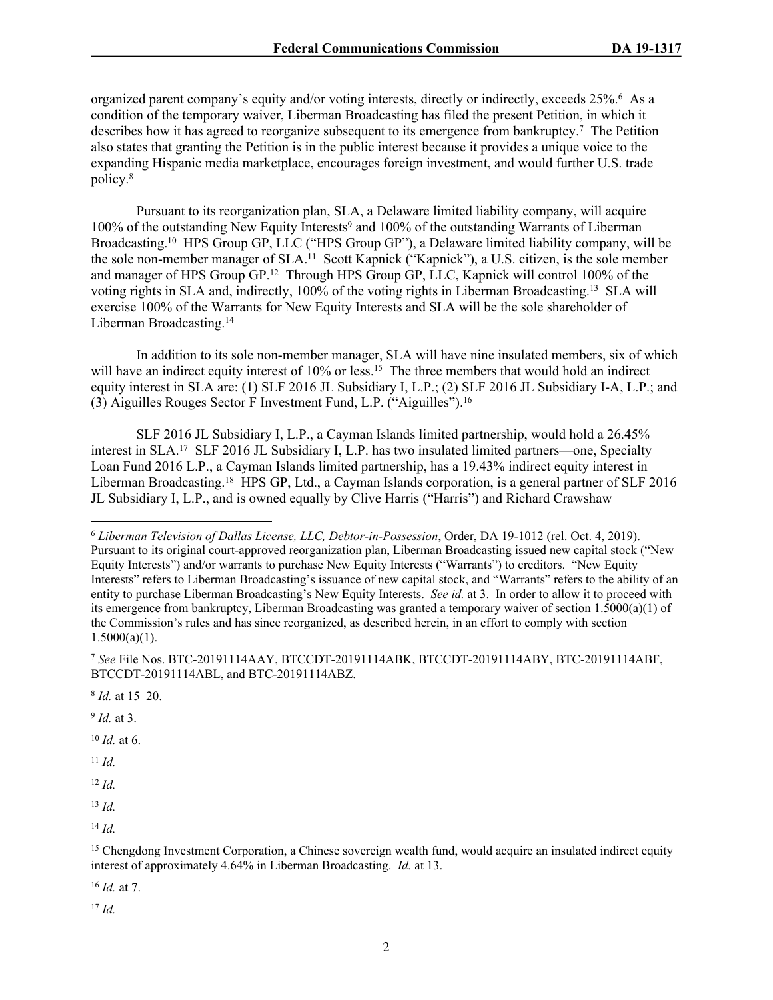organized parent company's equity and/or voting interests, directly or indirectly, exceeds 25%.<sup>6</sup> As a condition of the temporary waiver, Liberman Broadcasting has filed the present Petition, in which it describes how it has agreed to reorganize subsequent to its emergence from bankruptcy.<sup>7</sup> The Petition also states that granting the Petition is in the public interest because it provides a unique voice to the expanding Hispanic media marketplace, encourages foreign investment, and would further U.S. trade policy.<sup>8</sup>

Pursuant to its reorganization plan, SLA, a Delaware limited liability company, will acquire 100% of the outstanding New Equity Interests<sup>9</sup> and 100% of the outstanding Warrants of Liberman Broadcasting.<sup>10</sup> HPS Group GP, LLC ("HPS Group GP"), a Delaware limited liability company, will be the sole non-member manager of SLA.<sup>11</sup> Scott Kapnick ("Kapnick"), a U.S. citizen, is the sole member and manager of HPS Group GP.<sup>12</sup> Through HPS Group GP, LLC, Kapnick will control 100% of the voting rights in SLA and, indirectly, 100% of the voting rights in Liberman Broadcasting.<sup>13</sup> SLA will exercise 100% of the Warrants for New Equity Interests and SLA will be the sole shareholder of Liberman Broadcasting.<sup>14</sup>

In addition to its sole non-member manager, SLA will have nine insulated members, six of which will have an indirect equity interest of 10% or less.<sup>15</sup> The three members that would hold an indirect equity interest in SLA are: (1) SLF 2016 JL Subsidiary I, L.P.; (2) SLF 2016 JL Subsidiary I-A, L.P.; and (3) Aiguilles Rouges Sector F Investment Fund, L.P. ("Aiguilles").<sup>16</sup>

SLF 2016 JL Subsidiary I, L.P., a Cayman Islands limited partnership, would hold a 26.45% interest in SLA.<sup>17</sup> SLF 2016 JL Subsidiary I, L.P. has two insulated limited partners—one, Specialty Loan Fund 2016 L.P., a Cayman Islands limited partnership, has a 19.43% indirect equity interest in Liberman Broadcasting.<sup>18</sup> HPS GP, Ltd., a Cayman Islands corporation, is a general partner of SLF 2016 JL Subsidiary I, L.P., and is owned equally by Clive Harris ("Harris") and Richard Crawshaw

9 *Id.* at 3.

<sup>10</sup> *Id.* at 6.

<sup>11</sup> *Id.*

<sup>12</sup> *Id.*

<sup>13</sup> *Id.*

<sup>14</sup> *Id.*

<sup>16</sup> *Id.* at 7.

<sup>17</sup> *Id.*

<sup>6</sup> *Liberman Television of Dallas License, LLC, Debtor-in-Possession*, Order, DA 19-1012 (rel. Oct. 4, 2019). Pursuant to its original court-approved reorganization plan, Liberman Broadcasting issued new capital stock ("New Equity Interests") and/or warrants to purchase New Equity Interests ("Warrants") to creditors. "New Equity Interests" refers to Liberman Broadcasting's issuance of new capital stock, and "Warrants" refers to the ability of an entity to purchase Liberman Broadcasting's New Equity Interests. *See id.* at 3. In order to allow it to proceed with its emergence from bankruptcy, Liberman Broadcasting was granted a temporary waiver of section 1.5000(a)(1) of the Commission's rules and has since reorganized, as described herein, in an effort to comply with section  $1.5000(a)(1)$ .

<sup>7</sup> *See* File Nos. BTC-20191114AAY, BTCCDT-20191114ABK, BTCCDT-20191114ABY, BTC-20191114ABF, BTCCDT-20191114ABL, and BTC-20191114ABZ.

<sup>8</sup> *Id.* at 15–20.

<sup>&</sup>lt;sup>15</sup> Chengdong Investment Corporation, a Chinese sovereign wealth fund, would acquire an insulated indirect equity interest of approximately 4.64% in Liberman Broadcasting. *Id.* at 13.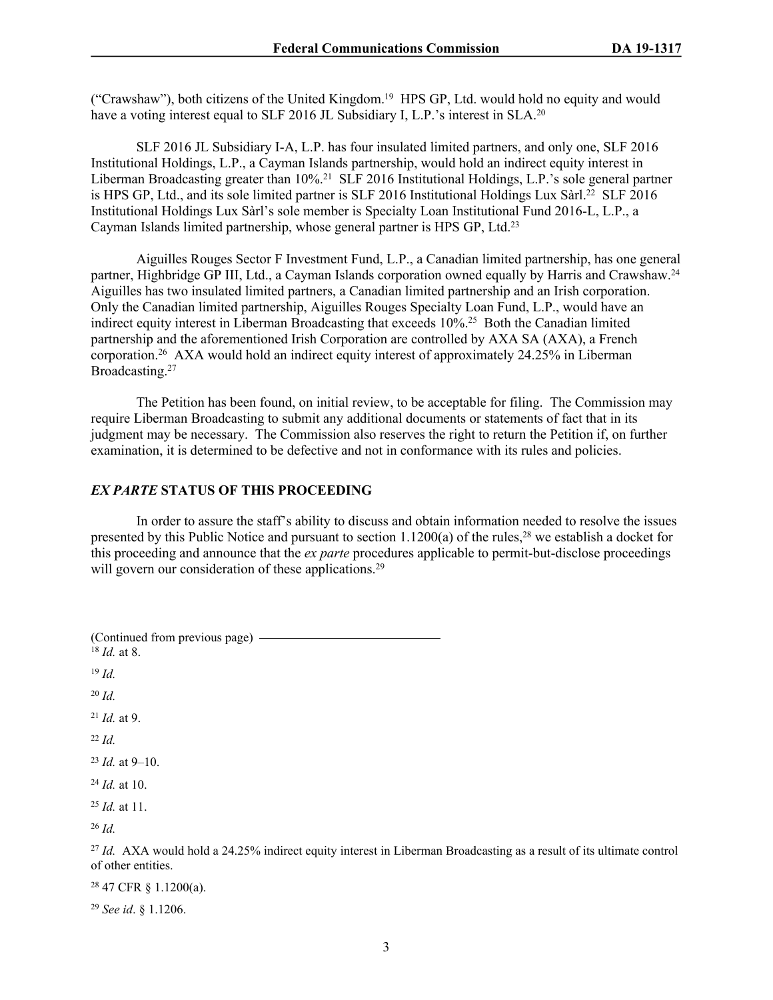("Crawshaw"), both citizens of the United Kingdom.<sup>19</sup> HPS GP, Ltd. would hold no equity and would have a voting interest equal to SLF 2016 JL Subsidiary I, L.P.'s interest in SLA.<sup>20</sup>

SLF 2016 JL Subsidiary I-A, L.P. has four insulated limited partners, and only one, SLF 2016 Institutional Holdings, L.P., a Cayman Islands partnership, would hold an indirect equity interest in Liberman Broadcasting greater than 10%.<sup>21</sup> SLF 2016 Institutional Holdings, L.P.'s sole general partner is HPS GP, Ltd., and its sole limited partner is SLF 2016 Institutional Holdings Lux Sàrl.<sup>22</sup> SLF 2016 Institutional Holdings Lux Sàrl's sole member is Specialty Loan Institutional Fund 2016-L, L.P., a Cayman Islands limited partnership, whose general partner is HPS GP, Ltd.<sup>23</sup>

Aiguilles Rouges Sector F Investment Fund, L.P., a Canadian limited partnership, has one general partner, Highbridge GP III, Ltd., a Cayman Islands corporation owned equally by Harris and Crawshaw.<sup>24</sup> Aiguilles has two insulated limited partners, a Canadian limited partnership and an Irish corporation. Only the Canadian limited partnership, Aiguilles Rouges Specialty Loan Fund, L.P., would have an indirect equity interest in Liberman Broadcasting that exceeds 10%.<sup>25</sup> Both the Canadian limited partnership and the aforementioned Irish Corporation are controlled by AXA SA (AXA), a French corporation.<sup>26</sup> AXA would hold an indirect equity interest of approximately 24.25% in Liberman Broadcasting.<sup>27</sup>

The Petition has been found, on initial review, to be acceptable for filing. The Commission may require Liberman Broadcasting to submit any additional documents or statements of fact that in its judgment may be necessary. The Commission also reserves the right to return the Petition if, on further examination, it is determined to be defective and not in conformance with its rules and policies.

#### *EX PARTE* **STATUS OF THIS PROCEEDING**

In order to assure the staff's ability to discuss and obtain information needed to resolve the issues presented by this Public Notice and pursuant to section 1.1200(a) of the rules,<sup>28</sup> we establish a docket for this proceeding and announce that the *ex parte* procedures applicable to permit-but-disclose proceedings will govern our consideration of these applications.<sup>29</sup>

(Continued from previous page) <sup>18</sup> *Id.* at 8. <sup>19</sup> *Id.* <sup>20</sup> *Id.* <sup>21</sup> *Id.* at 9. <sup>22</sup> *Id.* <sup>23</sup> *Id.* at 9–10. <sup>24</sup> *Id.* at 10. <sup>25</sup> *Id.* at 11. <sup>26</sup> *Id.* <sup>27</sup> *Id.* AXA would hold a 24.25% indirect equity interest in Liberman Broadcasting as a result of its ultimate control of other entities.

<sup>28</sup> 47 CFR § 1.1200(a).

<sup>29</sup> *See id*. § 1.1206.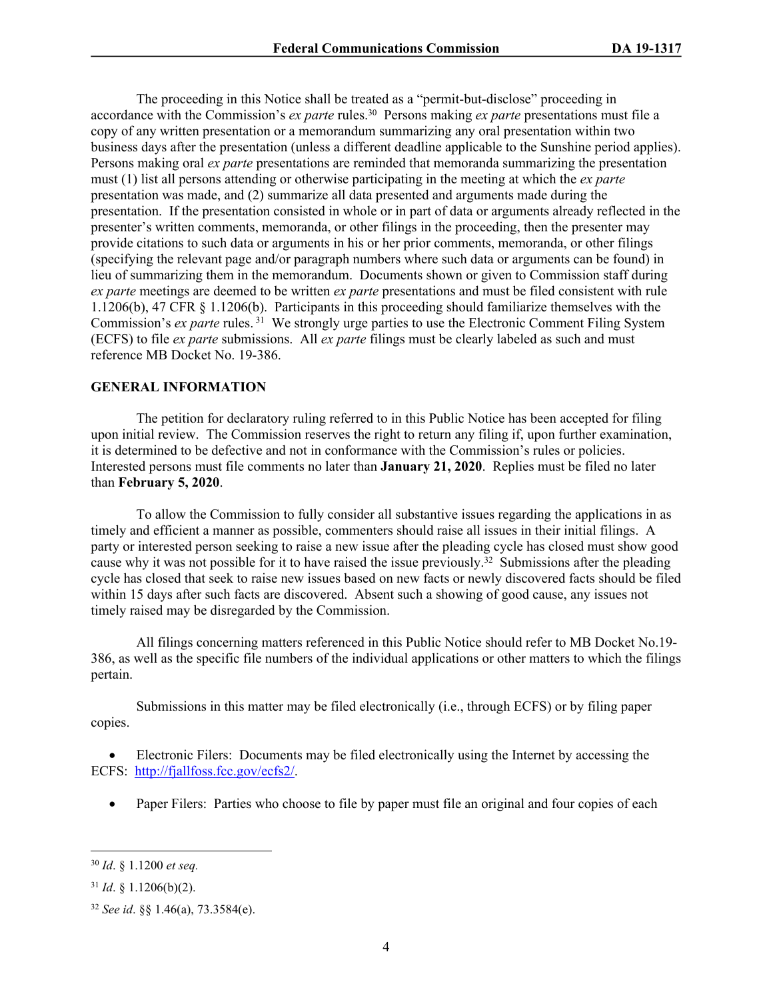The proceeding in this Notice shall be treated as a "permit-but-disclose" proceeding in accordance with the Commission's *ex parte* rules.<sup>30</sup> Persons making *ex parte* presentations must file a copy of any written presentation or a memorandum summarizing any oral presentation within two business days after the presentation (unless a different deadline applicable to the Sunshine period applies). Persons making oral *ex parte* presentations are reminded that memoranda summarizing the presentation must (1) list all persons attending or otherwise participating in the meeting at which the *ex parte*  presentation was made, and (2) summarize all data presented and arguments made during the presentation. If the presentation consisted in whole or in part of data or arguments already reflected in the presenter's written comments, memoranda, or other filings in the proceeding, then the presenter may provide citations to such data or arguments in his or her prior comments, memoranda, or other filings (specifying the relevant page and/or paragraph numbers where such data or arguments can be found) in lieu of summarizing them in the memorandum. Documents shown or given to Commission staff during *ex parte* meetings are deemed to be written *ex parte* presentations and must be filed consistent with rule 1.1206(b), 47 CFR § 1.1206(b). Participants in this proceeding should familiarize themselves with the Commission's *ex parte* rules.<sup>31</sup> We strongly urge parties to use the Electronic Comment Filing System (ECFS) to file *ex parte* submissions. All *ex parte* filings must be clearly labeled as such and must reference MB Docket No. 19-386.

### **GENERAL INFORMATION**

The petition for declaratory ruling referred to in this Public Notice has been accepted for filing upon initial review. The Commission reserves the right to return any filing if, upon further examination, it is determined to be defective and not in conformance with the Commission's rules or policies. Interested persons must file comments no later than **January 21, 2020**. Replies must be filed no later than **February 5, 2020**.

To allow the Commission to fully consider all substantive issues regarding the applications in as timely and efficient a manner as possible, commenters should raise all issues in their initial filings. A party or interested person seeking to raise a new issue after the pleading cycle has closed must show good cause why it was not possible for it to have raised the issue previously.<sup>32</sup> Submissions after the pleading cycle has closed that seek to raise new issues based on new facts or newly discovered facts should be filed within 15 days after such facts are discovered. Absent such a showing of good cause, any issues not timely raised may be disregarded by the Commission.

All filings concerning matters referenced in this Public Notice should refer to MB Docket No.19- 386, as well as the specific file numbers of the individual applications or other matters to which the filings pertain.

Submissions in this matter may be filed electronically (i.e., through ECFS) or by filing paper copies.

 Electronic Filers: Documents may be filed electronically using the Internet by accessing the ECFS: <http://fjallfoss.fcc.gov/ecfs2/>.

• Paper Filers: Parties who choose to file by paper must file an original and four copies of each

<sup>30</sup> *Id*. § 1.1200 *et seq.*

 $31$  *Id.* § 1.1206(b)(2).

<sup>32</sup> *See id*. §§ 1.46(a), 73.3584(e).